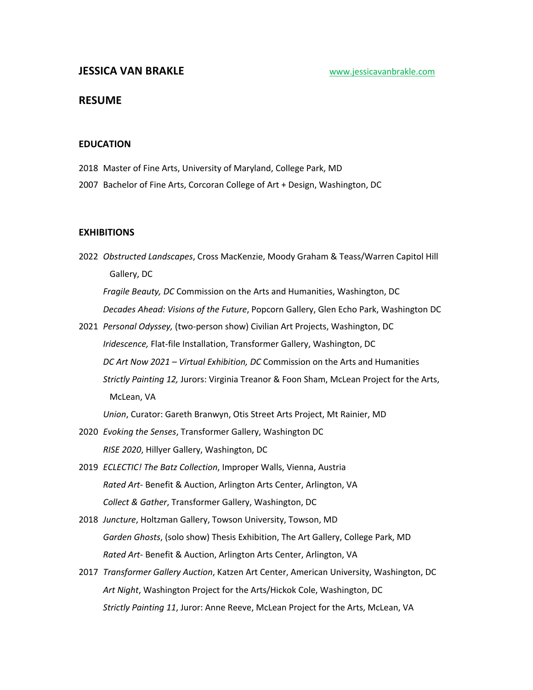# **RESUME**

## **EDUCATION**

- 2018 Master of Fine Arts, University of Maryland, College Park, MD
- 2007 Bachelor of Fine Arts, Corcoran College of Art + Design, Washington, DC

# **EXHIBITIONS**

2022 *Obstructed Landscapes*, Cross MacKenzie, Moody Graham & Teass/Warren Capitol Hill Gallery, DC

*Fragile Beauty, DC* Commission on the Arts and Humanities, Washington, DC *Decades Ahead: Visions of the Future*, Popcorn Gallery, Glen Echo Park, Washington DC

2021 *Personal Odyssey,* (two-person show) Civilian Art Projects, Washington, DC *Iridescence,* Flat-file Installation, Transformer Gallery, Washington, DC *DC Art Now 2021 – Virtual Exhibition, DC* Commission on the Arts and Humanities *Strictly Painting 12,* Jurors: Virginia Treanor & Foon Sham, McLean Project for the Arts, McLean, VA

*Union*, Curator: Gareth Branwyn, Otis Street Arts Project, Mt Rainier, MD

- 2020 *Evoking the Senses*, Transformer Gallery, Washington DC *RISE 2020*, Hillyer Gallery, Washington, DC
- 2019 *ECLECTIC! The Batz Collection*, Improper Walls, Vienna, Austria *Rated Art*- Benefit & Auction, Arlington Arts Center, Arlington, VA *Collect & Gather*, Transformer Gallery, Washington, DC
- 2018 *Juncture*, Holtzman Gallery, Towson University, Towson, MD *Garden Ghosts*, (solo show) Thesis Exhibition, The Art Gallery, College Park, MD *Rated Art*- Benefit & Auction, Arlington Arts Center, Arlington, VA
- 2017 *Transformer Gallery Auction*, Katzen Art Center, American University, Washington, DC *Art Night*, Washington Project for the Arts/Hickok Cole, Washington, DC *Strictly Painting 11*, Juror: Anne Reeve, McLean Project for the Arts, McLean, VA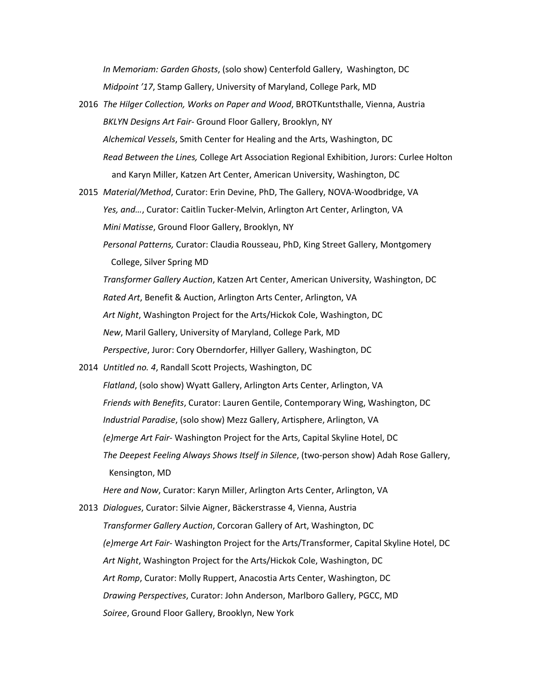*In Memoriam: Garden Ghosts*, (solo show) Centerfold Gallery, Washington, DC *Midpoint '17*, Stamp Gallery, University of Maryland, College Park, MD

- 2016 *The Hilger Collection, Works on Paper and Wood*, BROTKuntsthalle, Vienna, Austria *BKLYN Designs Art Fair*- Ground Floor Gallery, Brooklyn, NY *Alchemical Vessels*, Smith Center for Healing and the Arts, Washington, DC *Read Between the Lines,* College Art Association Regional Exhibition, Jurors: Curlee Holton and Karyn Miller, Katzen Art Center, American University, Washington, DC
- 2015 *Material/Method*, Curator: Erin Devine, PhD, The Gallery, NOVA-Woodbridge, VA *Yes, and…*, Curator: Caitlin Tucker-Melvin, Arlington Art Center, Arlington, VA *Mini Matisse*, Ground Floor Gallery, Brooklyn, NY
	- *Personal Patterns,* Curator: Claudia Rousseau, PhD, King Street Gallery, Montgomery College, Silver Spring MD

*Transformer Gallery Auction*, Katzen Art Center, American University, Washington, DC *Rated Art*, Benefit & Auction, Arlington Arts Center, Arlington, VA *Art Night*, Washington Project for the Arts/Hickok Cole, Washington, DC *New*, Maril Gallery, University of Maryland, College Park, MD *Perspective*, Juror: Cory Oberndorfer, Hillyer Gallery, Washington, DC

2014 *Untitled no. 4*, Randall Scott Projects, Washington, DC *Flatland*, (solo show) Wyatt Gallery, Arlington Arts Center, Arlington, VA *Friends with Benefits*, Curator: Lauren Gentile, Contemporary Wing, Washington, DC *Industrial Paradise*, (solo show) Mezz Gallery, Artisphere, Arlington, VA *(e)merge Art Fair*- Washington Project for the Arts, Capital Skyline Hotel, DC *The Deepest Feeling Always Shows Itself in Silence*, (two-person show) Adah Rose Gallery, Kensington, MD

*Here and Now*, Curator: Karyn Miller, Arlington Arts Center, Arlington, VA

2013 *Dialogues*, Curator: Silvie Aigner, Bäckerstrasse 4, Vienna, Austria *Transformer Gallery Auction*, Corcoran Gallery of Art, Washington, DC *(e)merge Art Fair*- Washington Project for the Arts/Transformer, Capital Skyline Hotel, DC *Art Night*, Washington Project for the Arts/Hickok Cole, Washington, DC *Art Romp*, Curator: Molly Ruppert, Anacostia Arts Center, Washington, DC *Drawing Perspectives*, Curator: John Anderson, Marlboro Gallery, PGCC, MD *Soiree*, Ground Floor Gallery, Brooklyn, New York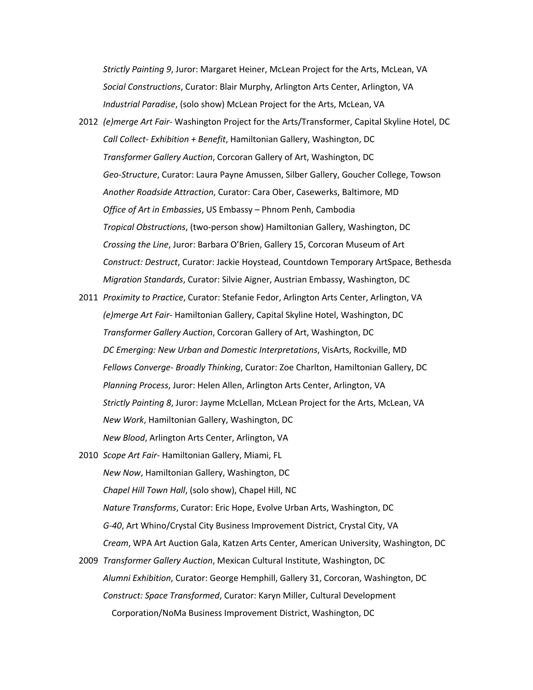*Strictly Painting 9*, Juror: Margaret Heiner, McLean Project for the Arts, McLean, VA *Social Constructions*, Curator: Blair Murphy, Arlington Arts Center, Arlington, VA *Industrial Paradise*, (solo show) McLean Project for the Arts, McLean, VA

- 2012 *(e)merge Art Fair* Washington Project for the Arts/Transformer, Capital Skyline Hotel, DC *Call Collect- Exhibition + Benefit*, Hamiltonian Gallery, Washington, DC *Transformer Gallery Auction*, Corcoran Gallery of Art, Washington, DC *Geo-Structure*, Curator: Laura Payne Amussen, Silber Gallery, Goucher College, Towson *Another Roadside Attraction*, Curator: Cara Ober, Casewerks, Baltimore, MD *Office of Art in Embassies*, US Embassy – Phnom Penh, Cambodia *Tropical Obstructions*, (two-person show) Hamiltonian Gallery, Washington, DC *Crossing the Line*, Juror: Barbara O'Brien, Gallery 15, Corcoran Museum of Art *Construct: Destruct*, Curator: Jackie Hoystead, Countdown Temporary ArtSpace, Bethesda *Migration Standards*, Curator: Silvie Aigner, Austrian Embassy, Washington, DC
- 2011 *Proximity to Practice*, Curator: Stefanie Fedor, Arlington Arts Center, Arlington, VA *(e)merge Art Fair*- Hamiltonian Gallery, Capital Skyline Hotel, Washington, DC *Transformer Gallery Auction*, Corcoran Gallery of Art, Washington, DC *DC Emerging: New Urban and Domestic Interpretations*, VisArts, Rockville, MD *Fellows Converge- Broadly Thinking*, Curator: Zoe Charlton, Hamiltonian Gallery, DC *Planning Process*, Juror: Helen Allen, Arlington Arts Center, Arlington, VA *Strictly Painting 8*, Juror: Jayme McLellan, McLean Project for the Arts, McLean, VA *New Work*, Hamiltonian Gallery, Washington, DC *New Blood*, Arlington Arts Center, Arlington, VA
- 2010 *Scope Art Fair* Hamiltonian Gallery, Miami, FL *New Now*, Hamiltonian Gallery, Washington, DC *Chapel Hill Town Hall*, (solo show), Chapel Hill, NC *Nature Transforms*, Curator: Eric Hope, Evolve Urban Arts, Washington, DC *G-40*, Art Whino/Crystal City Business Improvement District, Crystal City, VA *Cream*, WPA Art Auction Gala, Katzen Arts Center, American University, Washington, DC
- 2009 *Transformer Gallery Auction*, Mexican Cultural Institute, Washington, DC *Alumni Exhibition*, Curator: George Hemphill, Gallery 31, Corcoran, Washington, DC *Construct: Space Transformed*, Curator: Karyn Miller, Cultural Development Corporation/NoMa Business Improvement District, Washington, DC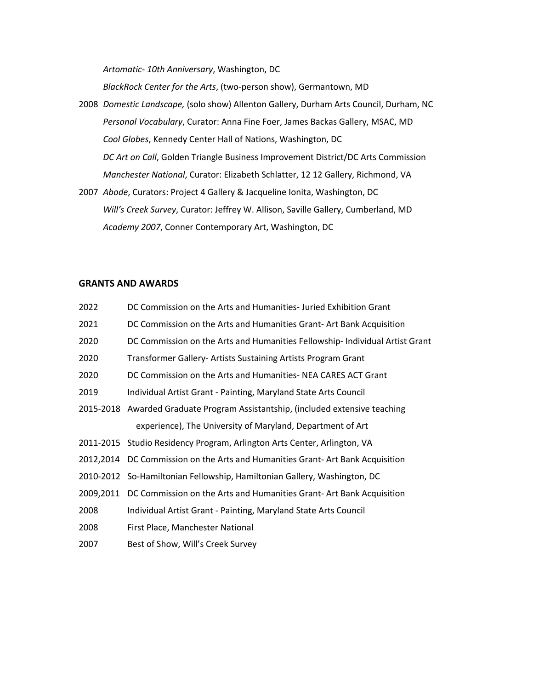*Artomatic- 10th Anniversary*, Washington, DC

*BlackRock Center for the Arts*, (two-person show), Germantown, MD

- 2008 *Domestic Landscape,* (solo show) Allenton Gallery, Durham Arts Council, Durham, NC *Personal Vocabulary*, Curator: Anna Fine Foer, James Backas Gallery, MSAC, MD *Cool Globes*, Kennedy Center Hall of Nations, Washington, DC *DC Art on Call*, Golden Triangle Business Improvement District/DC Arts Commission *Manchester National*, Curator: Elizabeth Schlatter, 12 12 Gallery, Richmond, VA
- 2007 *Abode*, Curators: Project 4 Gallery & Jacqueline Ionita, Washington, DC *Will's Creek Survey*, Curator: Jeffrey W. Allison, Saville Gallery, Cumberland, MD *Academy 2007*, Conner Contemporary Art, Washington, DC

## **GRANTS AND AWARDS**

| DC Commission on the Arts and Humanities-Juried Exhibition Grant               |
|--------------------------------------------------------------------------------|
| DC Commission on the Arts and Humanities Grant-Art Bank Acquisition            |
| DC Commission on the Arts and Humanities Fellowship- Individual Artist Grant   |
| Transformer Gallery- Artists Sustaining Artists Program Grant                  |
| DC Commission on the Arts and Humanities-NEA CARES ACT Grant                   |
| Individual Artist Grant - Painting, Maryland State Arts Council                |
| 2015-2018 Awarded Graduate Program Assistantship, (included extensive teaching |
| experience), The University of Maryland, Department of Art                     |
| 2011-2015 Studio Residency Program, Arlington Arts Center, Arlington, VA       |
| 2012, 2014 DC Commission on the Arts and Humanities Grant-Art Bank Acquisition |
| 2010-2012 So-Hamiltonian Fellowship, Hamiltonian Gallery, Washington, DC       |
| 2009,2011 DC Commission on the Arts and Humanities Grant-Art Bank Acquisition  |
| Individual Artist Grant - Painting, Maryland State Arts Council                |
| First Place, Manchester National                                               |
| Best of Show, Will's Creek Survey                                              |
|                                                                                |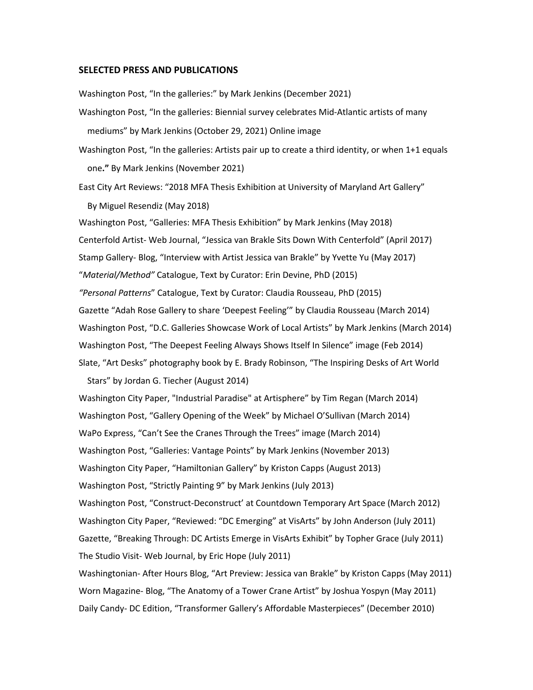#### **SELECTED PRESS AND PUBLICATIONS**

Washington Post, "In the galleries:" by Mark Jenkins (December 2021)

- Washington Post, "In the galleries: Biennial survey celebrates Mid-Atlantic artists of many mediums" by Mark Jenkins (October 29, 2021) Online image
- Washington Post, "In the galleries: Artists pair up to create a third identity, or when 1+1 equals one**."** By Mark Jenkins (November 2021)
- East City Art Reviews: "2018 MFA Thesis Exhibition at University of Maryland Art Gallery" By Miguel Resendiz (May 2018)

Washington Post, "Galleries: MFA Thesis Exhibition" by Mark Jenkins (May 2018) Centerfold Artist- Web Journal, "Jessica van Brakle Sits Down With Centerfold" (April 2017) Stamp Gallery- Blog, "Interview with Artist Jessica van Brakle" by Yvette Yu (May 2017) "*Material/Method"* Catalogue, Text by Curator: Erin Devine, PhD (2015) *"Personal Patterns*" Catalogue, Text by Curator: Claudia Rousseau, PhD (2015) Gazette "Adah Rose Gallery to share 'Deepest Feeling'" by Claudia Rousseau (March 2014) Washington Post, "D.C. Galleries Showcase Work of Local Artists" by Mark Jenkins (March 2014) Washington Post, "The Deepest Feeling Always Shows Itself In Silence" image (Feb 2014) Slate, "Art Desks" photography book by E. Brady Robinson, "The Inspiring Desks of Art World

Stars" by Jordan G. Tiecher (August 2014)

Washington City Paper, "Industrial Paradise" at Artisphere" by Tim Regan (March 2014) Washington Post, "Gallery Opening of the Week" by Michael O'Sullivan (March 2014) WaPo Express, "Can't See the Cranes Through the Trees" image (March 2014) Washington Post, "Galleries: Vantage Points" by Mark Jenkins (November 2013) Washington City Paper, "Hamiltonian Gallery" by Kriston Capps (August 2013) Washington Post, "Strictly Painting 9" by Mark Jenkins (July 2013) Washington Post, "Construct-Deconstruct' at Countdown Temporary Art Space (March 2012) Washington City Paper, "Reviewed: "DC Emerging" at VisArts" by John Anderson (July 2011) Gazette, "Breaking Through: DC Artists Emerge in VisArts Exhibit" by Topher Grace (July 2011) The Studio Visit- Web Journal, by Eric Hope (July 2011) Washingtonian- After Hours Blog, "Art Preview: Jessica van Brakle" by Kriston Capps (May 2011)

Worn Magazine- Blog, "The Anatomy of a Tower Crane Artist" by Joshua Yospyn (May 2011) Daily Candy- DC Edition, "Transformer Gallery's Affordable Masterpieces" (December 2010)